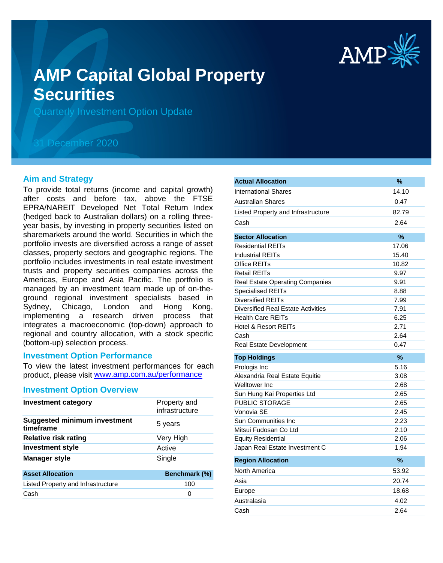

# **AMP Capital Global Property Securities**

Quarterly Investment Option Update

# 31 December 2020

# **Aim and Strategy**

To provide total returns (income and capital growth) after costs and before tax, above the FTSE EPRA/NAREIT Developed Net Total Return Index (hedged back to Australian dollars) on a rolling threeyear basis, by investing in property securities listed on sharemarkets around the world. Securities in which the portfolio invests are diversified across a range of asset classes, property sectors and geographic regions. The portfolio includes investments in real estate investment trusts and property securities companies across the Americas, Europe and Asia Pacific. The portfolio is managed by an investment team made up of on-theground regional investment specialists based in Sydney, Chicago, London and Hong Kong, implementing a research driven process that integrates a macroeconomic (top-down) approach to regional and country allocation, with a stock specific (bottom-up) selection process.

# **Investment Option Performance**

product, please visit www.amp.com.au/performance To view the latest investment performances for each

#### **Investment Option Overview**

| <b>Investment category</b>                       | Property and<br>infrastructure |
|--------------------------------------------------|--------------------------------|
| <b>Suggested minimum investment</b><br>timeframe | 5 years                        |
| <b>Relative risk rating</b>                      | Very High                      |
| <b>Investment style</b>                          | Active                         |
| <b>Manager style</b>                             | Single                         |
| <b>Asset Allocation</b>                          | Benchmark (%)                  |
| Listed Property and Infrastructure               | 100                            |
| Cash                                             | 0                              |

| <b>Actual Allocation</b>                  | %     |
|-------------------------------------------|-------|
| <b>International Shares</b>               | 14.10 |
| <b>Australian Shares</b>                  | 0.47  |
| Listed Property and Infrastructure        | 82.79 |
| Cash                                      | 2.64  |
| <b>Sector Allocation</b>                  | %     |
| <b>Residential REITs</b>                  | 17.06 |
| <b>Industrial REITs</b>                   | 15.40 |
| Office REITs                              | 10.82 |
| <b>Retail REITs</b>                       | 9.97  |
| <b>Real Estate Operating Companies</b>    | 9.91  |
| <b>Specialised REITs</b>                  | 8.88  |
| <b>Diversified REITs</b>                  | 7.99  |
| <b>Diversified Real Estate Activities</b> | 7.91  |
| <b>Health Care REITs</b>                  | 6.25  |
| <b>Hotel &amp; Resort REITs</b>           | 2.71  |
| Cash                                      | 2.64  |
| Real Estate Development                   | 0.47  |
| <b>Top Holdings</b>                       | %     |
|                                           |       |
| Prologis Inc                              | 5.16  |
| Alexandria Real Estate Equitie            | 3.08  |
| Welltower Inc                             | 2.68  |
| Sun Hung Kai Properties Ltd               | 2.65  |
| <b>PUBLIC STORAGE</b>                     | 2.65  |
| Vonovia SE                                | 2.45  |
| Sun Communities Inc                       | 2.23  |
| Mitsui Fudosan Co Ltd                     | 2.10  |
| <b>Equity Residential</b>                 | 2.06  |
| Japan Real Estate Investment C            | 1.94  |
| <b>Region Allocation</b>                  | $\%$  |
| North America                             | 53.92 |
| Asia                                      | 20.74 |
| Europe                                    | 18.68 |
| Australasia                               | 4.02  |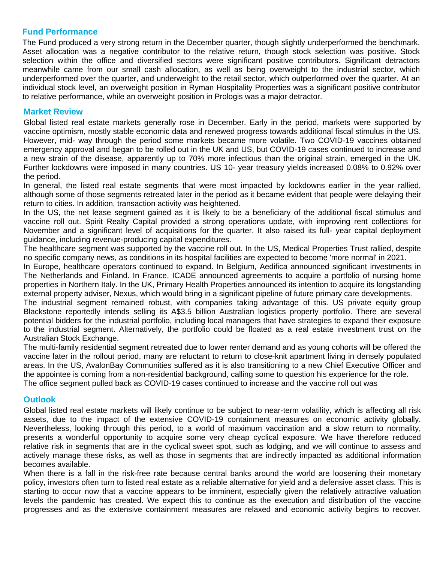# **Fund Performance**

The Fund produced a very strong return in the December quarter, though slightly underperformed the benchmark. Asset allocation was a negative contributor to the relative return, though stock selection was positive. Stock selection within the office and diversified sectors were significant positive contributors. Significant detractors meanwhile came from our small cash allocation, as well as being overweight to the industrial sector, which underperformed over the quarter, and underweight to the retail sector, which outperformed over the quarter. At an individual stock level, an overweight position in Ryman Hospitality Properties was a significant positive contributor to relative performance, while an overweight position in Prologis was a major detractor.

# **Market Review**

Global listed real estate markets generally rose in December. Early in the period, markets were supported by vaccine optimism, mostly stable economic data and renewed progress towards additional fiscal stimulus in the US. However, mid- way through the period some markets became more volatile. Two COVID-19 vaccines obtained emergency approval and began to be rolled out in the UK and US, but COVID-19 cases continued to increase and a new strain of the disease, apparently up to 70% more infectious than the original strain, emerged in the UK. Further lockdowns were imposed in many countries. US 10- year treasury yields increased 0.08% to 0.92% over the period.

In general, the listed real estate segments that were most impacted by lockdowns earlier in the year rallied, although some of those segments retreated later in the period as it became evident that people were delaying their return to cities. In addition, transaction activity was heightened.

In the US, the net lease segment gained as it is likely to be a beneficiary of the additional fiscal stimulus and vaccine roll out. Spirit Realty Capital provided a strong operations update, with improving rent collections for November and a significant level of acquisitions for the quarter. It also raised its full- year capital deployment guidance, including revenue-producing capital expenditures.

The healthcare segment was supported by the vaccine roll out. In the US, Medical Properties Trust rallied, despite no specific company news, as conditions in its hospital facilities are expected to become 'more normal' in 2021.

In Europe, healthcare operators continued to expand. In Belgium, Aedifica announced significant investments in The Netherlands and Finland. In France, ICADE announced agreements to acquire a portfolio of nursing home properties in Northern Italy. In the UK, Primary Health Properties announced its intention to acquire its longstanding external property adviser, Nexus, which would bring in a significant pipeline of future primary care developments.

The industrial segment remained robust, with companies taking advantage of this. US private equity group Blackstone reportedly intends selling its A\$3.5 billion Australian logistics property portfolio. There are several potential bidders for the industrial portfolio, including local managers that have strategies to expand their exposure to the industrial segment. Alternatively, the portfolio could be floated as a real estate investment trust on the Australian Stock Exchange.

The multi-family residential segment retreated due to lower renter demand and as young cohorts will be offered the vaccine later in the rollout period, many are reluctant to return to close-knit apartment living in densely populated areas. In the US, AvalonBay Communities suffered as it is also transitioning to a new Chief Executive Officer and the appointee is coming from a non-residential background, calling some to question his experience for the role. The office segment pulled back as COVID-19 cases continued to increase and the vaccine roll out was

# **Outlook**

Global listed real estate markets will likely continue to be subject to near-term volatility, which is affecting all risk assets, due to the impact of the extensive COVID-19 containment measures on economic activity globally. Nevertheless, looking through this period, to a world of maximum vaccination and a slow return to normality, presents a wonderful opportunity to acquire some very cheap cyclical exposure. We have therefore reduced relative risk in segments that are in the cyclical sweet spot, such as lodging, and we will continue to assess and actively manage these risks, as well as those in segments that are indirectly impacted as additional information becomes available.

When there is a fall in the risk-free rate because central banks around the world are loosening their monetary policy, investors often turn to listed real estate as a reliable alternative for yield and a defensive asset class. This is starting to occur now that a vaccine appears to be imminent, especially given the relatively attractive valuation levels the pandemic has created. We expect this to continue as the execution and distribution of the vaccine progresses and as the extensive containment measures are relaxed and economic activity begins to recover.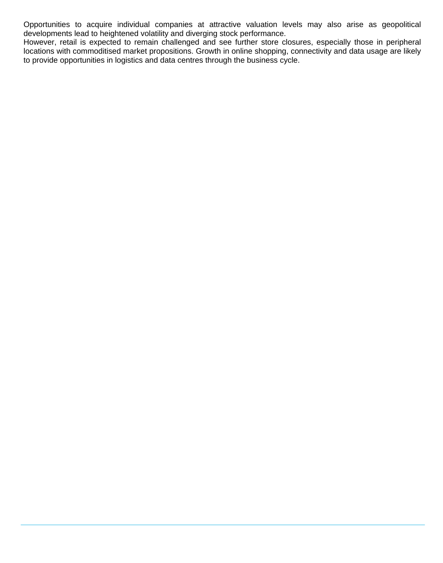Opportunities to acquire individual companies at attractive valuation levels may also arise as geopolitical developments lead to heightened volatility and diverging stock performance.

However, retail is expected to remain challenged and see further store closures, especially those in peripheral locations with commoditised market propositions. Growth in online shopping, connectivity and data usage are likely to provide opportunities in logistics and data centres through the business cycle.